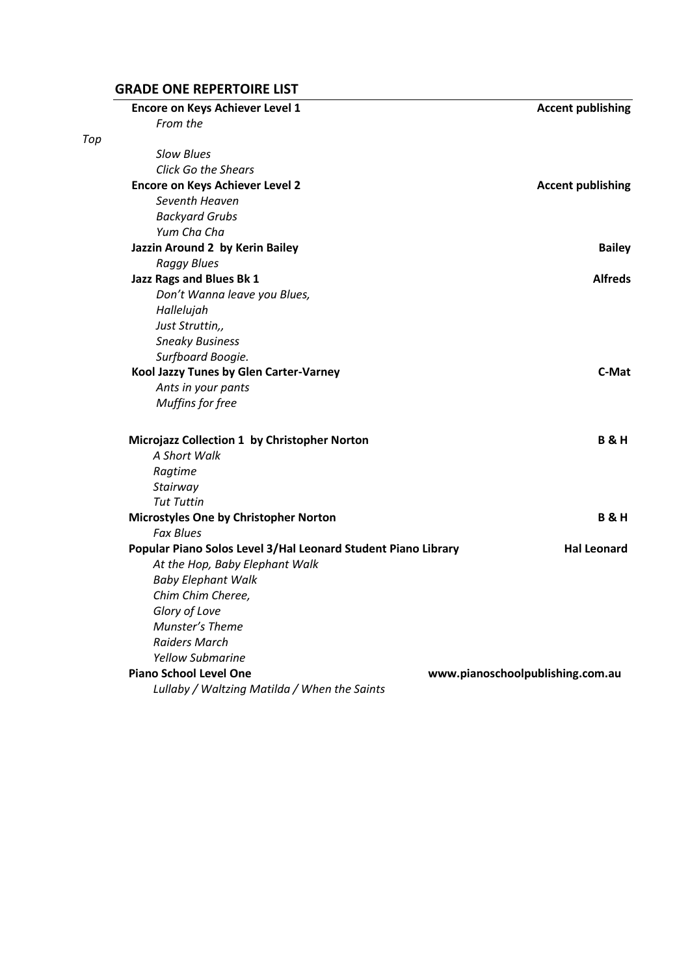### **GRADE ONE REPERTOIRE LIST**

|     | <b>Encore on Keys Achiever Level 1</b>                        | <b>Accent publishing</b>         |
|-----|---------------------------------------------------------------|----------------------------------|
|     | From the                                                      |                                  |
| Top |                                                               |                                  |
|     | <b>Slow Blues</b>                                             |                                  |
|     | <b>Click Go the Shears</b>                                    |                                  |
|     | <b>Encore on Keys Achiever Level 2</b>                        | <b>Accent publishing</b>         |
|     | Seventh Heaven                                                |                                  |
|     | <b>Backyard Grubs</b>                                         |                                  |
|     | Yum Cha Cha                                                   |                                  |
|     | Jazzin Around 2 by Kerin Bailey                               | <b>Bailey</b>                    |
|     | <b>Raggy Blues</b>                                            |                                  |
|     | Jazz Rags and Blues Bk 1                                      | <b>Alfreds</b>                   |
|     | Don't Wanna leave you Blues,                                  |                                  |
|     | Hallelujah                                                    |                                  |
|     | Just Struttin,,                                               |                                  |
|     | <b>Sneaky Business</b>                                        |                                  |
|     | Surfboard Boogie.                                             |                                  |
|     | Kool Jazzy Tunes by Glen Carter-Varney                        | C-Mat                            |
|     | Ants in your pants                                            |                                  |
|     | Muffins for free                                              |                                  |
|     | Microjazz Collection 1 by Christopher Norton                  | <b>B&amp;H</b>                   |
|     | A Short Walk                                                  |                                  |
|     | Ragtime                                                       |                                  |
|     | Stairway                                                      |                                  |
|     | <b>Tut Tuttin</b>                                             |                                  |
|     | Microstyles One by Christopher Norton                         | <b>B&amp;H</b>                   |
|     | <b>Fax Blues</b>                                              |                                  |
|     | Popular Piano Solos Level 3/Hal Leonard Student Piano Library | <b>Hal Leonard</b>               |
|     | At the Hop, Baby Elephant Walk                                |                                  |
|     | <b>Baby Elephant Walk</b>                                     |                                  |
|     | Chim Chim Cheree,                                             |                                  |
|     | Glory of Love                                                 |                                  |
|     | Munster's Theme                                               |                                  |
|     | <b>Raiders March</b>                                          |                                  |
|     | <b>Yellow Submarine</b>                                       |                                  |
|     | <b>Piano School Level One</b>                                 | www.pianoschoolpublishing.com.au |
|     |                                                               |                                  |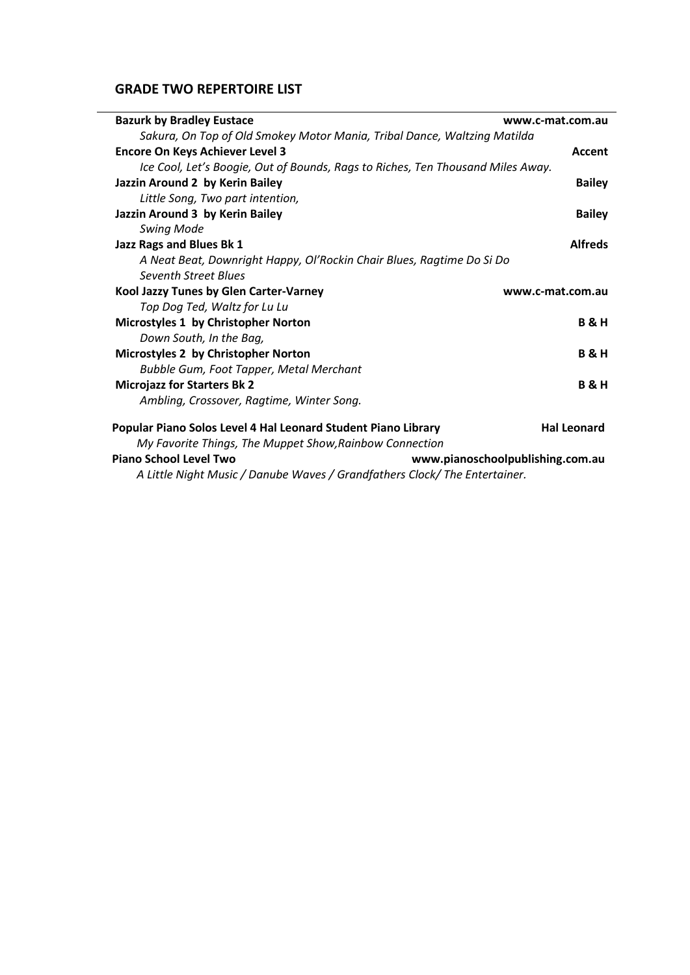### **GRADE TWO REPERTOIRE LIST**

| <b>Bazurk by Bradley Eustace</b>                                                | www.c-mat.com.au                 |
|---------------------------------------------------------------------------------|----------------------------------|
| Sakura, On Top of Old Smokey Motor Mania, Tribal Dance, Waltzing Matilda        |                                  |
| <b>Encore On Keys Achiever Level 3</b>                                          | Accent                           |
| Ice Cool, Let's Boogie, Out of Bounds, Rags to Riches, Ten Thousand Miles Away. |                                  |
| Jazzin Around 2 by Kerin Bailey                                                 | <b>Bailey</b>                    |
| Little Song, Two part intention,                                                |                                  |
| Jazzin Around 3 by Kerin Bailey                                                 | <b>Bailey</b>                    |
| <b>Swing Mode</b>                                                               |                                  |
| Jazz Rags and Blues Bk 1                                                        | <b>Alfreds</b>                   |
| A Neat Beat, Downright Happy, Ol'Rockin Chair Blues, Ragtime Do Si Do           |                                  |
| <b>Seventh Street Blues</b>                                                     |                                  |
| Kool Jazzy Tunes by Glen Carter-Varney                                          | www.c-mat.com.au                 |
| Top Dog Ted, Waltz for Lu Lu                                                    |                                  |
| Microstyles 1 by Christopher Norton                                             | <b>B&amp;H</b>                   |
| Down South, In the Bag,                                                         |                                  |
| Microstyles 2 by Christopher Norton                                             | <b>B&amp;H</b>                   |
| <b>Bubble Gum, Foot Tapper, Metal Merchant</b>                                  |                                  |
| <b>Microjazz for Starters Bk 2</b>                                              | <b>B&amp;H</b>                   |
| Ambling, Crossover, Ragtime, Winter Song.                                       |                                  |
| Popular Piano Solos Level 4 Hal Leonard Student Piano Library                   | <b>Hal Leonard</b>               |
| My Favorite Things, The Muppet Show, Rainbow Connection                         |                                  |
| <b>Piano School Level Two</b>                                                   | www.pianoschoolpublishing.com.au |
| A Little Night Music / Danube Waves / Grandfathers Clock/ The Entertainer.      |                                  |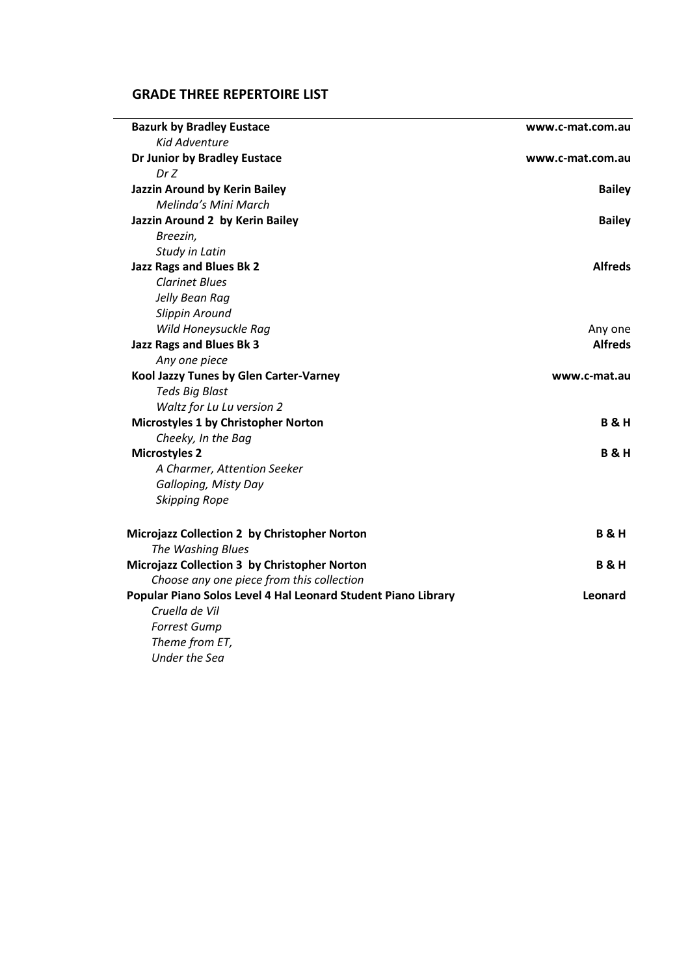# **GRADE THREE REPERTOIRE LIST**

 $\overline{\phantom{a}}$ 

| <b>Bazurk by Bradley Eustace</b>                              | www.c-mat.com.au |
|---------------------------------------------------------------|------------------|
| <b>Kid Adventure</b>                                          |                  |
| Dr Junior by Bradley Eustace                                  | www.c-mat.com.au |
| Dr Z                                                          |                  |
| Jazzin Around by Kerin Bailey                                 | <b>Bailey</b>    |
| Melinda's Mini March                                          |                  |
| Jazzin Around 2 by Kerin Bailey                               | <b>Bailey</b>    |
| Breezin,                                                      |                  |
| Study in Latin                                                |                  |
| Jazz Rags and Blues Bk 2                                      | <b>Alfreds</b>   |
| <b>Clarinet Blues</b>                                         |                  |
| Jelly Bean Rag                                                |                  |
| Slippin Around                                                |                  |
| Wild Honeysuckle Rag                                          | Any one          |
| Jazz Rags and Blues Bk 3                                      | <b>Alfreds</b>   |
| Any one piece                                                 |                  |
| Kool Jazzy Tunes by Glen Carter-Varney                        | www.c-mat.au     |
| <b>Teds Big Blast</b>                                         |                  |
| Waltz for Lu Lu version 2                                     |                  |
| Microstyles 1 by Christopher Norton                           | <b>B&amp;H</b>   |
| Cheeky, In the Bag                                            |                  |
| <b>Microstyles 2</b>                                          | <b>B&amp;H</b>   |
| A Charmer, Attention Seeker                                   |                  |
| Galloping, Misty Day                                          |                  |
| <b>Skipping Rope</b>                                          |                  |
| Microjazz Collection 2 by Christopher Norton                  | <b>B&amp;H</b>   |
| The Washing Blues                                             |                  |
| Microjazz Collection 3 by Christopher Norton                  | <b>B&amp;H</b>   |
| Choose any one piece from this collection                     |                  |
| Popular Piano Solos Level 4 Hal Leonard Student Piano Library | Leonard          |
| Cruella de Vil                                                |                  |
| <b>Forrest Gump</b>                                           |                  |
| Theme from ET,                                                |                  |
| <b>Under the Sea</b>                                          |                  |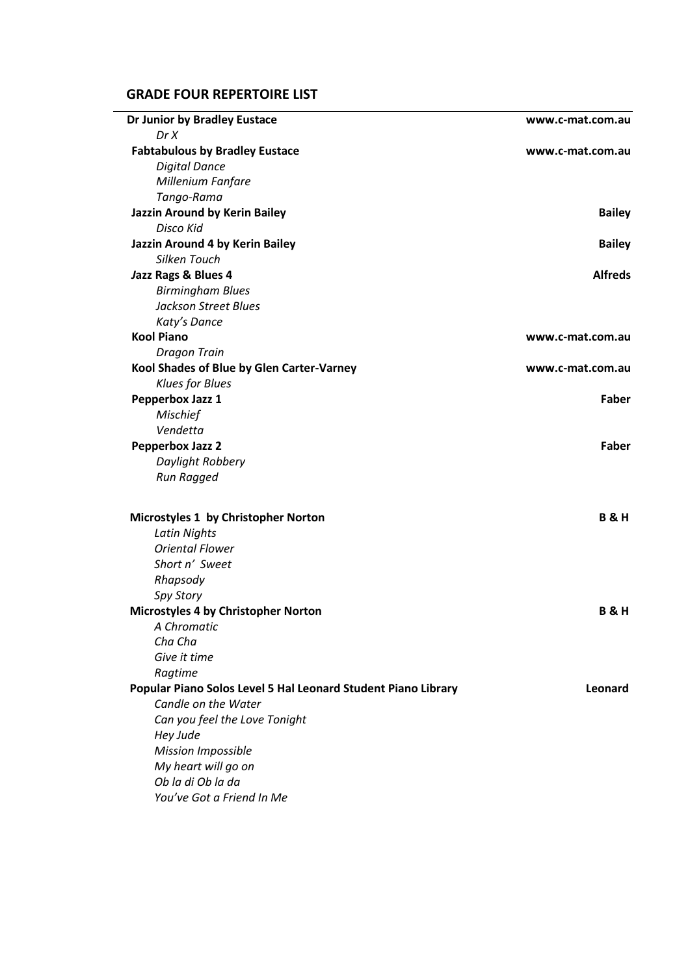# **GRADE FOUR REPERTOIRE LIST**

| Dr Junior by Bradley Eustace                                  | www.c-mat.com.au |
|---------------------------------------------------------------|------------------|
| Dr X                                                          |                  |
| <b>Fabtabulous by Bradley Eustace</b>                         | www.c-mat.com.au |
| <b>Digital Dance</b>                                          |                  |
| Millenium Fanfare                                             |                  |
| Tango-Rama                                                    |                  |
| Jazzin Around by Kerin Bailey                                 | <b>Bailey</b>    |
| Disco Kid                                                     |                  |
| Jazzin Around 4 by Kerin Bailey                               | <b>Bailey</b>    |
| Silken Touch                                                  |                  |
| Jazz Rags & Blues 4                                           | <b>Alfreds</b>   |
| <b>Birmingham Blues</b>                                       |                  |
| <b>Jackson Street Blues</b>                                   |                  |
| Katy's Dance                                                  |                  |
| <b>Kool Piano</b>                                             | www.c-mat.com.au |
| <b>Dragon Train</b>                                           |                  |
| Kool Shades of Blue by Glen Carter-Varney                     | www.c-mat.com.au |
| <b>Klues for Blues</b>                                        |                  |
| Pepperbox Jazz 1                                              | Faber            |
| <b>Mischief</b>                                               |                  |
| Vendetta                                                      |                  |
| <b>Pepperbox Jazz 2</b>                                       | Faber            |
| Daylight Robbery                                              |                  |
| Run Ragged                                                    |                  |
| Microstyles 1 by Christopher Norton                           | <b>B&amp;H</b>   |
| <b>Latin Nights</b>                                           |                  |
| <b>Oriental Flower</b>                                        |                  |
| Short n' Sweet                                                |                  |
| Rhapsody                                                      |                  |
| Spy Story                                                     |                  |
| Microstyles 4 by Christopher Norton                           | <b>B&amp;H</b>   |
| A Chromatic                                                   |                  |
| Cha Cha                                                       |                  |
| Give it time                                                  |                  |
| Ragtime                                                       |                  |
|                                                               | Leonard          |
| Popular Piano Solos Level 5 Hal Leonard Student Piano Library |                  |
| Candle on the Water                                           |                  |
| Can you feel the Love Tonight                                 |                  |
| Hey Jude                                                      |                  |
| <b>Mission Impossible</b>                                     |                  |
| My heart will go on                                           |                  |
| Ob la di Ob la da                                             |                  |
| You've Got a Friend In Me                                     |                  |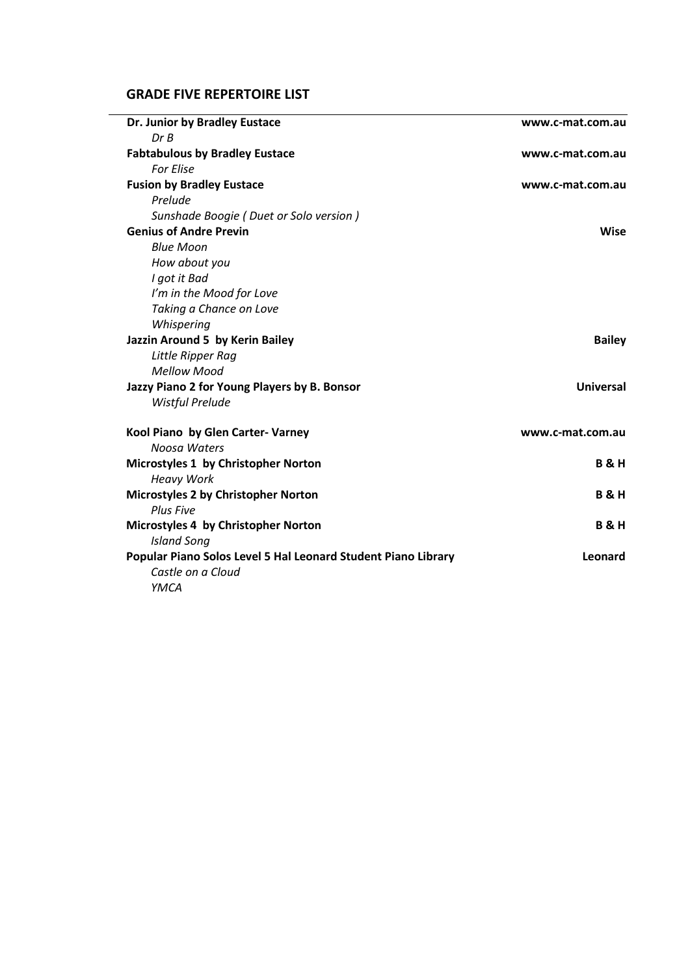# **GRADE FIVE REPERTOIRE LIST**

| Dr. Junior by Bradley Eustace                                 | www.c-mat.com.au |
|---------------------------------------------------------------|------------------|
| DrB                                                           |                  |
| <b>Fabtabulous by Bradley Eustace</b>                         | www.c-mat.com.au |
| <b>For Flise</b>                                              |                  |
| <b>Fusion by Bradley Eustace</b>                              | www.c-mat.com.au |
| Prelude                                                       |                  |
| Sunshade Boogie (Duet or Solo version)                        |                  |
| <b>Genius of Andre Previn</b>                                 | <b>Wise</b>      |
| <b>Blue Moon</b>                                              |                  |
| How about you                                                 |                  |
| I got it Bad                                                  |                  |
| I'm in the Mood for Love                                      |                  |
| Taking a Chance on Love                                       |                  |
| Whispering                                                    |                  |
| Jazzin Around 5 by Kerin Bailey                               | <b>Bailey</b>    |
| Little Ripper Rag                                             |                  |
| <b>Mellow Mood</b>                                            |                  |
| Jazzy Piano 2 for Young Players by B. Bonsor                  | <b>Universal</b> |
| <b>Wistful Prelude</b>                                        |                  |
| Kool Piano by Glen Carter- Varney                             | www.c-mat.com.au |
| Noosa Waters                                                  |                  |
| Microstyles 1 by Christopher Norton                           | <b>B&amp;H</b>   |
| <b>Heavy Work</b>                                             |                  |
| Microstyles 2 by Christopher Norton                           | <b>B&amp;H</b>   |
| <b>Plus Five</b>                                              |                  |
| Microstyles 4 by Christopher Norton                           | <b>B&amp;H</b>   |
| <b>Island Song</b>                                            |                  |
| Popular Piano Solos Level 5 Hal Leonard Student Piano Library | Leonard          |
| Castle on a Cloud                                             |                  |
| YMCA                                                          |                  |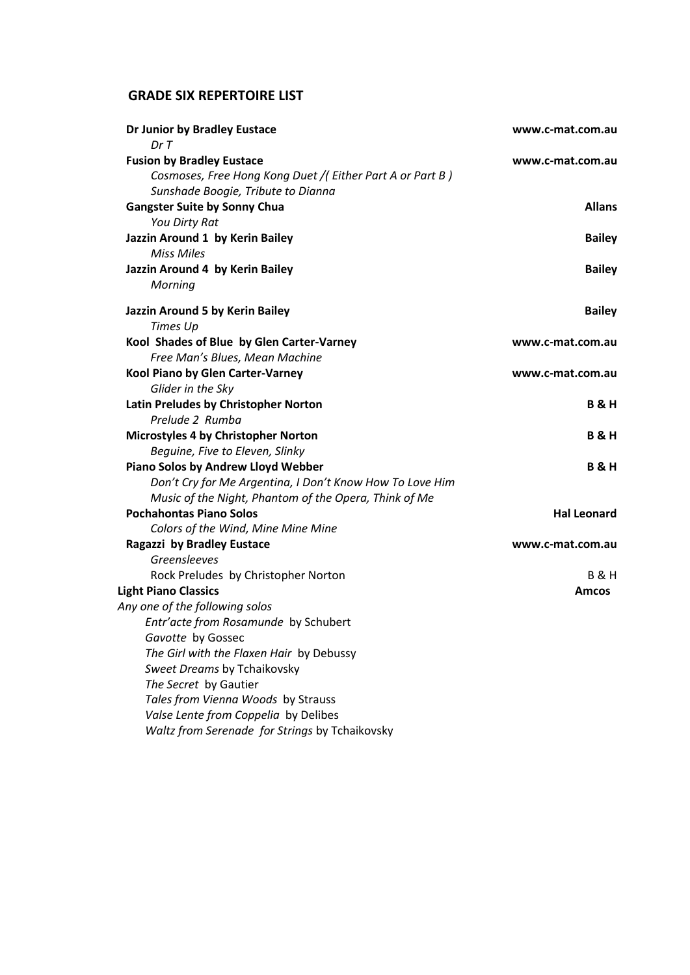# **GRADE SIX REPERTOIRE LIST**

| Dr Junior by Bradley Eustace                                       | www.c-mat.com.au   |
|--------------------------------------------------------------------|--------------------|
| Dr T<br><b>Fusion by Bradley Eustace</b>                           | www.c-mat.com.au   |
| Cosmoses, Free Hong Kong Duet /(Either Part A or Part B)           |                    |
| Sunshade Boogie, Tribute to Dianna                                 |                    |
| <b>Gangster Suite by Sonny Chua</b>                                | <b>Allans</b>      |
| You Dirty Rat                                                      |                    |
| Jazzin Around 1 by Kerin Bailey                                    | <b>Bailey</b>      |
| <b>Miss Miles</b>                                                  |                    |
| Jazzin Around 4 by Kerin Bailey                                    | <b>Bailey</b>      |
| Morning                                                            |                    |
| Jazzin Around 5 by Kerin Bailey                                    | <b>Bailey</b>      |
| Times Up                                                           |                    |
| Kool Shades of Blue by Glen Carter-Varney                          | www.c-mat.com.au   |
| Free Man's Blues, Mean Machine                                     |                    |
| Kool Piano by Glen Carter-Varney                                   | www.c-mat.com.au   |
| Glider in the Sky                                                  |                    |
| Latin Preludes by Christopher Norton                               | <b>B&amp;H</b>     |
| Prelude 2 Rumba                                                    |                    |
| Microstyles 4 by Christopher Norton                                | <b>B&amp;H</b>     |
| Beguine, Five to Eleven, Slinky                                    |                    |
| Piano Solos by Andrew Lloyd Webber                                 | <b>B&amp;H</b>     |
| Don't Cry for Me Argentina, I Don't Know How To Love Him           |                    |
| Music of the Night, Phantom of the Opera, Think of Me              |                    |
| <b>Pochahontas Piano Solos</b>                                     | <b>Hal Leonard</b> |
| Colors of the Wind, Mine Mine Mine                                 |                    |
| Ragazzi by Bradley Eustace<br>Greensleeves                         | www.c-mat.com.au   |
|                                                                    | <b>B&amp;H</b>     |
| Rock Preludes by Christopher Norton<br><b>Light Piano Classics</b> | <b>Amcos</b>       |
| Any one of the following solos                                     |                    |
| Entr'acte from Rosamunde by Schubert                               |                    |
| Gavotte by Gossec                                                  |                    |
| The Girl with the Flaxen Hair by Debussy                           |                    |
| Sweet Dreams by Tchaikovsky                                        |                    |
| The Secret by Gautier                                              |                    |
| Tales from Vienna Woods by Strauss                                 |                    |
| Valse Lente from Coppelia by Delibes                               |                    |
| Waltz from Serenade for Strings by Tchaikovsky                     |                    |
|                                                                    |                    |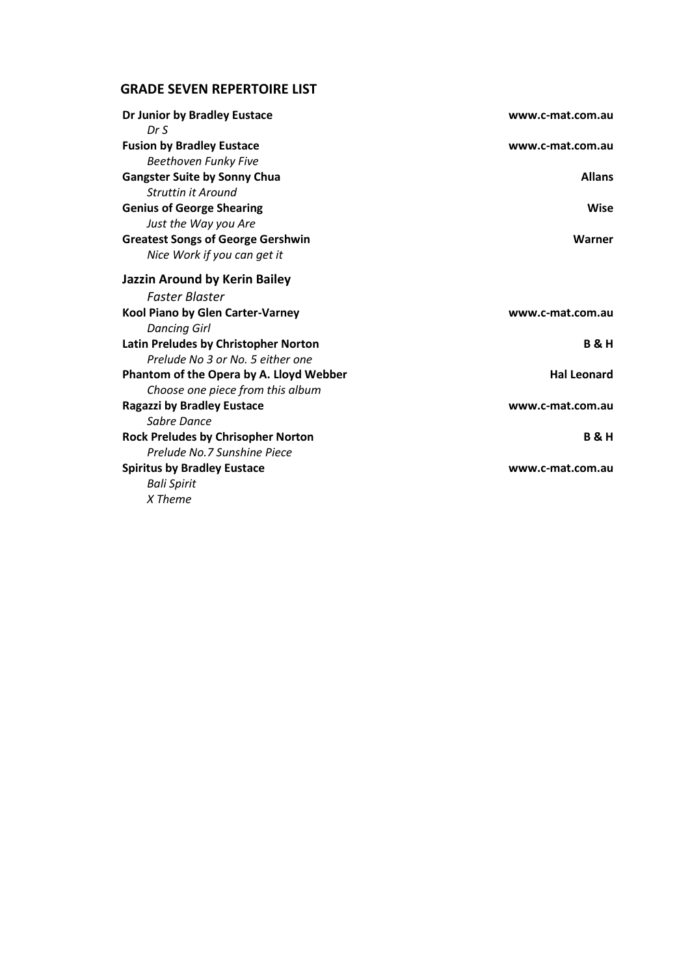### **GRADE SEVEN REPERTOIRE LIST**

| Dr Junior by Bradley Eustace              | www.c-mat.com.au   |
|-------------------------------------------|--------------------|
| DrS                                       |                    |
| <b>Fusion by Bradley Eustace</b>          | www.c-mat.com.au   |
| <b>Beethoven Funky Five</b>               |                    |
| <b>Gangster Suite by Sonny Chua</b>       | <b>Allans</b>      |
| <b>Struttin it Around</b>                 |                    |
| <b>Genius of George Shearing</b>          | Wise               |
| Just the Way you Are                      |                    |
| <b>Greatest Songs of George Gershwin</b>  | Warner             |
| Nice Work if you can get it               |                    |
| Jazzin Around by Kerin Bailey             |                    |
| <b>Faster Blaster</b>                     |                    |
| Kool Piano by Glen Carter-Varney          | www.c-mat.com.au   |
| <b>Dancing Girl</b>                       |                    |
| Latin Preludes by Christopher Norton      | <b>B&amp;H</b>     |
| Prelude No 3 or No. 5 either one          |                    |
| Phantom of the Opera by A. Lloyd Webber   | <b>Hal Leonard</b> |
| Choose one piece from this album          |                    |
| <b>Ragazzi by Bradley Eustace</b>         | www.c-mat.com.au   |
| Sabre Dance                               |                    |
| <b>Rock Preludes by Chrisopher Norton</b> | <b>B&amp;H</b>     |
| Prelude No.7 Sunshine Piece               |                    |
| <b>Spiritus by Bradley Eustace</b>        | www.c-mat.com.au   |
| <b>Bali Spirit</b>                        |                    |
| X Theme                                   |                    |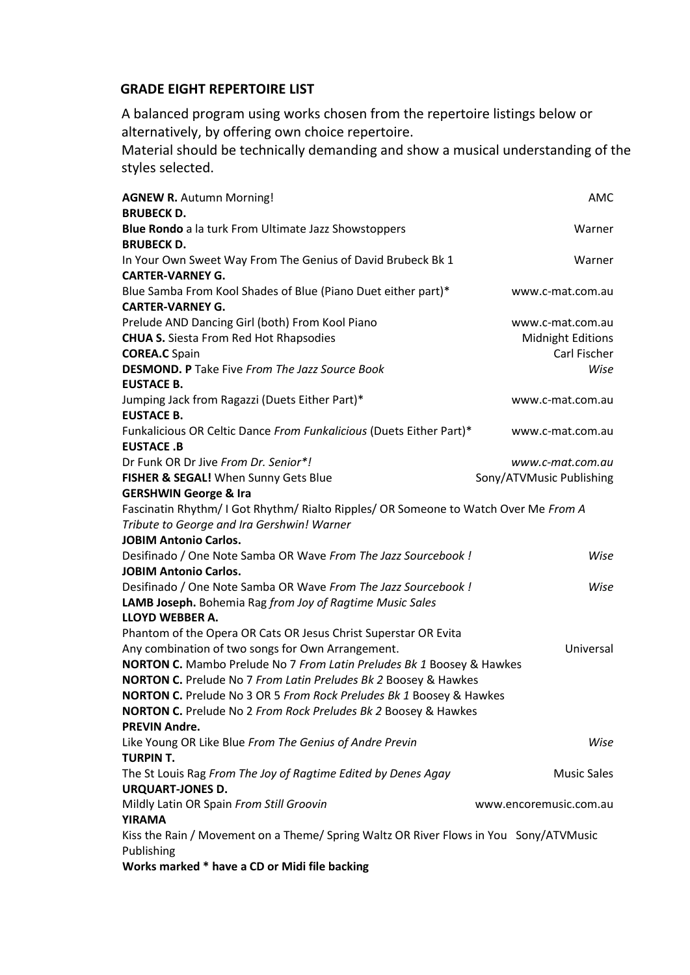### **GRADE EIGHT REPERTOIRE LIST**

A balanced program using works chosen from the repertoire listings below or alternatively, by offering own choice repertoire.

Material should be technically demanding and show a musical understanding of the styles selected.

| <b>AGNEW R. Autumn Morning!</b><br><b>BRUBECK D.</b>                                                                | AMC                      |
|---------------------------------------------------------------------------------------------------------------------|--------------------------|
| Blue Rondo a la turk From Ultimate Jazz Showstoppers                                                                | Warner                   |
| <b>BRUBECK D.</b><br>In Your Own Sweet Way From The Genius of David Brubeck Bk 1                                    | Warner                   |
| <b>CARTER-VARNEY G.</b><br>Blue Samba From Kool Shades of Blue (Piano Duet either part)*<br><b>CARTER-VARNEY G.</b> | www.c-mat.com.au         |
| Prelude AND Dancing Girl (both) From Kool Piano                                                                     | www.c-mat.com.au         |
| <b>CHUA S.</b> Siesta From Red Hot Rhapsodies                                                                       | Midnight Editions        |
| <b>COREA.C</b> Spain                                                                                                | Carl Fischer             |
| <b>DESMOND. P</b> Take Five From The Jazz Source Book                                                               | Wise                     |
| <b>EUSTACE B.</b>                                                                                                   |                          |
| Jumping Jack from Ragazzi (Duets Either Part)*                                                                      | www.c-mat.com.au         |
| <b>EUSTACE B.</b>                                                                                                   |                          |
| Funkalicious OR Celtic Dance From Funkalicious (Duets Either Part)*                                                 | www.c-mat.com.au         |
| <b>EUSTACE.B</b>                                                                                                    |                          |
| Dr Funk OR Dr Jive From Dr. Senior*!                                                                                | www.c-mat.com.au         |
| FISHER & SEGAL! When Sunny Gets Blue                                                                                | Sony/ATVMusic Publishing |
| <b>GERSHWIN George &amp; Ira</b>                                                                                    |                          |
| Fascinatin Rhythm/ I Got Rhythm/ Rialto Ripples/ OR Someone to Watch Over Me From A                                 |                          |
| Tribute to George and Ira Gershwin! Warner                                                                          |                          |
| <b>JOBIM Antonio Carlos.</b>                                                                                        |                          |
| Desifinado / One Note Samba OR Wave From The Jazz Sourcebook !                                                      | Wise                     |
| <b>JOBIM Antonio Carlos.</b>                                                                                        |                          |
| Desifinado / One Note Samba OR Wave From The Jazz Sourcebook !                                                      | Wise                     |
| LAMB Joseph. Bohemia Rag from Joy of Ragtime Music Sales                                                            |                          |
| LLOYD WEBBER A.                                                                                                     |                          |
| Phantom of the Opera OR Cats OR Jesus Christ Superstar OR Evita                                                     |                          |
| Any combination of two songs for Own Arrangement.                                                                   | Universal                |
| NORTON C. Mambo Prelude No 7 From Latin Preludes Bk 1 Boosey & Hawkes                                               |                          |
| NORTON C. Prelude No 7 From Latin Preludes Bk 2 Boosey & Hawkes                                                     |                          |
| NORTON C. Prelude No 3 OR 5 From Rock Preludes Bk 1 Boosey & Hawkes                                                 |                          |
| <b>NORTON C.</b> Prelude No 2 From Rock Preludes Bk 2 Boosey & Hawkes                                               |                          |
| <b>PREVIN Andre.</b>                                                                                                |                          |
| Like Young OR Like Blue From The Genius of Andre Previn                                                             | Wise                     |
| TURPIN T.                                                                                                           |                          |
| The St Louis Rag From The Joy of Ragtime Edited by Denes Agay                                                       | <b>Music Sales</b>       |
| <b>URQUART-JONES D.</b>                                                                                             |                          |
| Mildly Latin OR Spain From Still Groovin                                                                            | www.encoremusic.com.au   |
| YIRAMA                                                                                                              |                          |
| Kiss the Rain / Movement on a Theme/ Spring Waltz OR River Flows in You Sony/ATVMusic                               |                          |
| Publishing                                                                                                          |                          |

**Works marked \* have a CD or Midi file backing**